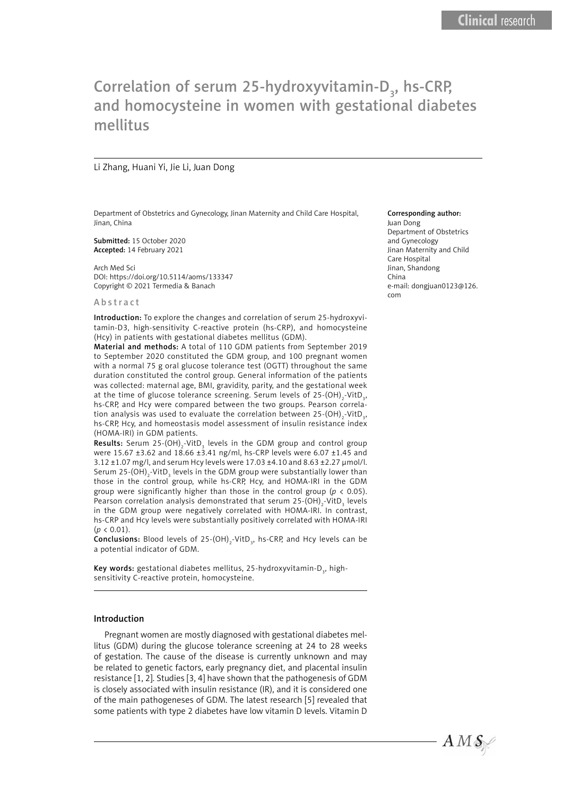# Correlation of serum 25-hydroxyvitamin-D<sub>3</sub>, hs-CRP, and homocysteine in women with gestational diabetes mellitus

#### Li Zhang, Huani Yi, Jie Li, Juan Dong

Department of Obstetrics and Gynecology, Jinan Maternity and Child Care Hospital, Jinan, China

Submitted: 15 October 2020 Accepted: 14 February 2021

Arch Med Sci DOI: https://doi.org/10.5114/aoms/133347 Copyright © 2021 Termedia & Banach

#### **Abstract**

Introduction: To explore the changes and correlation of serum 25-hydroxyvitamin-D3, high-sensitivity C-reactive protein (hs-CRP), and homocysteine (Hcy) in patients with gestational diabetes mellitus (GDM).

Material and methods: A total of 110 GDM patients from September 2019 to September 2020 constituted the GDM group, and 100 pregnant women with a normal 75 g oral glucose tolerance test (OGTT) throughout the same duration constituted the control group. General information of the patients was collected: maternal age, BMI, gravidity, parity, and the gestational week at the time of glucose tolerance screening. Serum levels of 25-(OH) $_{\textrm{\tiny{2}}}$ -VitD $_{\textrm{\tiny{3}}}$ , hs-CRP, and Hcy were compared between the two groups. Pearson correlation analysis was used to evaluate the correlation between 25-(OH) $_{\textrm{\tiny{2}}}$ -VitD $_{\textrm{\tiny{3}}}$ , hs-CRP, Hcy, and homeostasis model assessment of insulin resistance index (HOMA-IRI) in GDM patients.

**Results:** Serum 25-(OH)<sub>2</sub>-VitD<sub>3</sub> levels in the GDM group and control group were 15.67 ±3.62 and  $18.66 \pm 3.41$  ng/ml, hs-CRP levels were 6.07 ±1.45 and 3.12 ±1.07 mg/l, and serum Hcy levels were 17.03 ±4.10 and 8.63 ±2.27 µmol/l. Serum 25-(OH) $_{\textrm{\tiny{2}}}$ -VitD $_{\textrm{\tiny{3}}}$  levels in the GDM group were substantially lower than those in the control group, while hs-CRP, Hcy, and HOMA-IRI in the GDM group were significantly higher than those in the control group (*p* < 0.05). Pearson correlation analysis demonstrated that serum 25-(OH) $_{\textrm{\tiny{2}}}$ -VitD $_{\textrm{\tiny{3}}}$  levels in the GDM group were negatively correlated with HOMA-IRI. In contrast, hs-CRP and Hcy levels were substantially positively correlated with HOMA-IRI  $(p < 0.01)$ .

**Conclusions:** Blood levels of 25-(OH)<sub>2</sub>-VitD<sub>3</sub>, hs-CRP, and Hcy levels can be a potential indicator of GDM.

**Key words:** gestational diabetes mellitus, 25-hydroxyvitamin-D<sub>3</sub>, highsensitivity C-reactive protein, homocysteine.

#### Introduction

Pregnant women are mostly diagnosed with gestational diabetes mellitus (GDM) during the glucose tolerance screening at 24 to 28 weeks of gestation. The cause of the disease is currently unknown and may be related to genetic factors, early pregnancy diet, and placental insulin resistance [1, 2]. Studies [3, 4] have shown that the pathogenesis of GDM is closely associated with insulin resistance (IR), and it is considered one of the main pathogeneses of GDM. The latest research [5] revealed that some patients with type 2 diabetes have low vitamin D levels. Vitamin D

#### Corresponding author:

Juan Dong Department of Obstetrics and Gynecology Jinan Maternity and Child Care Hospital Jinan, Shandong China e-mail: dongjuan0123@126. com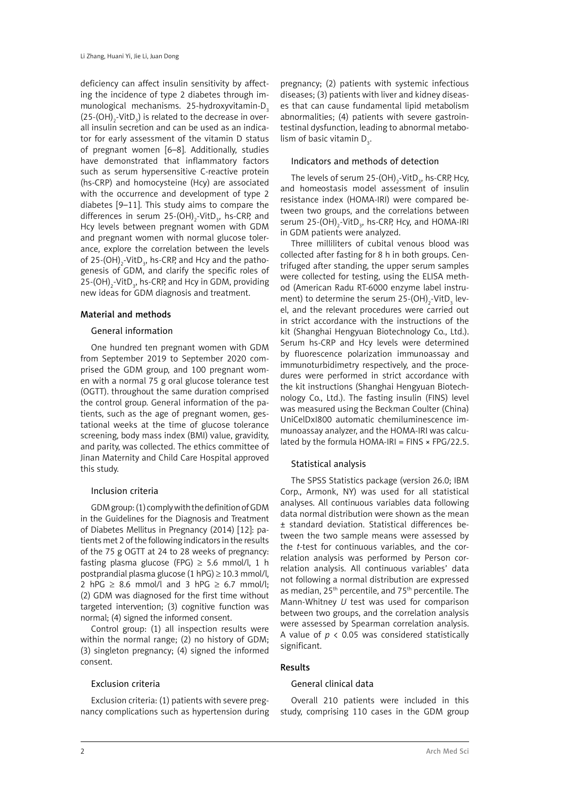deficiency can affect insulin sensitivity by affecting the incidence of type 2 diabetes through immunological mechanisms.  $25$ -hydroxyvitamin-D<sub>3</sub>  $(25\text{-}({\sf OH})_{2}\text{-}~{\sf VitD}_{3})$  is related to the decrease in overall insulin secretion and can be used as an indicator for early assessment of the vitamin D status of pregnant women [6–8]. Additionally, studies have demonstrated that inflammatory factors such as serum hypersensitive C-reactive protein (hs-CRP) and homocysteine (Hcy) are associated with the occurrence and development of type 2 diabetes [9–11]. This study aims to compare the differences in serum 25-(OH)<sub>2</sub>-VitD<sub>3</sub>, hs-CRP, and Hcy levels between pregnant women with GDM and pregnant women with normal glucose tolerance, explore the correlation between the levels of 25-(OH)<sub>2</sub>-VitD<sub>3</sub>, hs-CRP, and Hcy and the pathogenesis of GDM, and clarify the specific roles of 25-(OH)<sub>2</sub>-VitD<sub>3</sub>, hs-CRP, and Hcy in GDM, providing new ideas for GDM diagnosis and treatment.

## Material and methods

#### General information

One hundred ten pregnant women with GDM from September 2019 to September 2020 comprised the GDM group, and 100 pregnant women with a normal 75 g oral glucose tolerance test (OGTT). throughout the same duration comprised the control group. General information of the patients, such as the age of pregnant women, gestational weeks at the time of glucose tolerance screening, body mass index (BMI) value, gravidity, and parity, was collected. The ethics committee of Jinan Maternity and Child Care Hospital approved this study.

#### Inclusion criteria

GDM group: (1) comply with the definition of GDM in the Guidelines for the Diagnosis and Treatment of Diabetes Mellitus in Pregnancy (2014) [12]: patients met 2 of the following indicators in the results of the 75 g OGTT at 24 to 28 weeks of pregnancy: fasting plasma glucose (FPG)  $\geq$  5.6 mmol/l, 1 h postprandial plasma glucose  $(1 hPG) \ge 10.3 mmol/l$ , 2 hPG  $\geq$  8.6 mmol/l and 3 hPG  $\geq$  6.7 mmol/l: (2) GDM was diagnosed for the first time without targeted intervention; (3) cognitive function was normal; (4) signed the informed consent.

Control group: (1) all inspection results were within the normal range; (2) no history of GDM; (3) singleton pregnancy; (4) signed the informed consent.

# Exclusion criteria

Exclusion criteria: (1) patients with severe pregnancy complications such as hypertension during

pregnancy; (2) patients with systemic infectious diseases; (3) patients with liver and kidney diseases that can cause fundamental lipid metabolism abnormalities; (4) patients with severe gastrointestinal dysfunction, leading to abnormal metabolism of basic vitamin  $D_3$ .

#### Indicators and methods of detection

The levels of serum  $25\text{-}(OH)_{2}\text{-}VitD_{3}$ , hs-CRP, Hcy, and homeostasis model assessment of insulin resistance index (HOMA-IRI) were compared between two groups, and the correlations between serum 25- $(OH)_2$ -VitD<sub>3</sub>, hs-CRP, Hcy, and HOMA-IRI in GDM patients were analyzed.

Three milliliters of cubital venous blood was collected after fasting for 8 h in both groups. Centrifuged after standing, the upper serum samples were collected for testing, using the ELISA method (American Radu RT-6000 enzyme label instrument) to determine the serum 25-(OH)<sub>2</sub>-VitD<sub>3</sub> level, and the relevant procedures were carried out in strict accordance with the instructions of the kit (Shanghai Hengyuan Biotechnology Co., Ltd.). Serum hs-CRP and Hcy levels were determined by fluorescence polarization immunoassay and immunoturbidimetry respectively, and the procedures were performed in strict accordance with the kit instructions (Shanghai Hengyuan Biotechnology Co., Ltd.). The fasting insulin (FINS) level was measured using the Beckman Coulter (China) UniCelDxI800 automatic chemiluminescence immunoassay analyzer, and the HOMA-IRI was calculated by the formula HOMA-IRI = FINS  $\times$  FPG/22.5.

#### Statistical analysis

The SPSS Statistics package (version 26.0; IBM Corp., Armonk, NY) was used for all statistical analyses. All continuous variables data following data normal distribution were shown as the mean ± standard deviation. Statistical differences between the two sample means were assessed by the *t*-test for continuous variables, and the correlation analysis was performed by Person correlation analysis. All continuous variables' data not following a normal distribution are expressed as median,  $25<sup>th</sup>$  percentile, and  $75<sup>th</sup>$  percentile. The Mann-Whitney *U* test was used for comparison between two groups, and the correlation analysis were assessed by Spearman correlation analysis. A value of *p* < 0.05 was considered statistically significant.

#### Results

## General clinical data

Overall 210 patients were included in this study, comprising 110 cases in the GDM group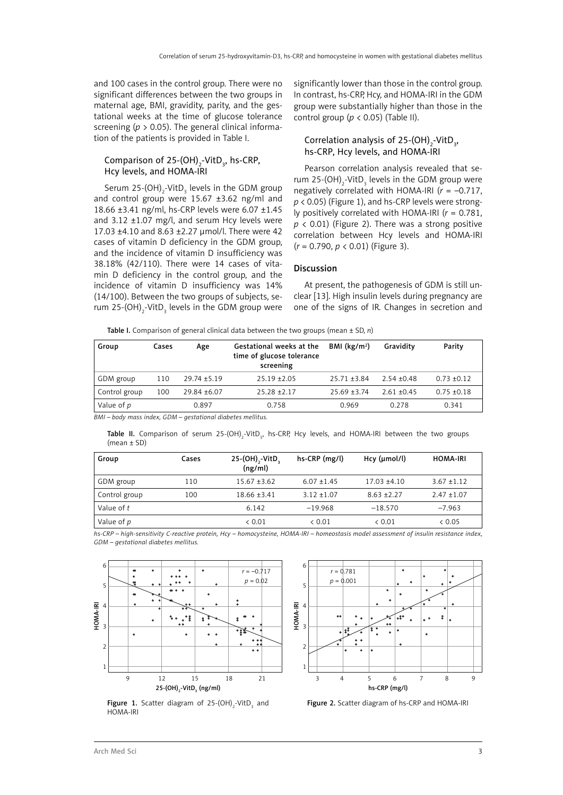and 100 cases in the control group. There were no significant differences between the two groups in maternal age, BMI, gravidity, parity, and the gestational weeks at the time of glucose tolerance screening (*p* > 0.05). The general clinical information of the patients is provided in Table I.

# Comparison of 25-(OH)<sub>2</sub>-VitD<sub>3</sub>, hs-CRP, Hcy levels, and HOMA-IRI

Serum 25-(OH) $_2$ -VitD $_3$  levels in the GDM group and control group were 15.67 ±3.62 ng/ml and 18.66 ±3.41 ng/ml, hs-CRP levels were 6.07 ±1.45 and 3.12 ±1.07 mg/l, and serum Hcy levels were 17.03 ±4.10 and 8.63 ±2.27 µmol/l. There were 42 cases of vitamin D deficiency in the GDM group, and the incidence of vitamin D insufficiency was 38.18% (42/110). There were 14 cases of vitamin D deficiency in the control group, and the incidence of vitamin D insufficiency was 14% (14/100). Between the two groups of subjects, serum 25-(OH) $_2$ -VitD<sub>3</sub> levels in the GDM group were significantly lower than those in the control group. In contrast, hs-CRP, Hcy, and HOMA-IRI in the GDM group were substantially higher than those in the control group ( $p < 0.05$ ) (Table II).

# Correlation analysis of 25-(OH)<sub>2</sub>-VitD<sub>3</sub>, hs-CRP, Hcy levels, and HOMA-IRI

Pearson correlation analysis revealed that serum 25- $(OH)_{2}$ -VitD<sub>3</sub> levels in the GDM group were negatively correlated with HOMA-IRI (*r* = –0.717, *p* < 0.05) (Figure 1), and hs-CRP levels were strongly positively correlated with HOMA-IRI (*r* = 0.781,  $p \lt 0.01$ ) (Figure 2). There was a strong positive correlation between Hcy levels and HOMA-IRI (*r* = 0.790, *p* < 0.01) (Figure 3).

#### Discussion

At present, the pathogenesis of GDM is still unclear [13]. High insulin levels during pregnancy are one of the signs of IR. Changes in secretion and

Table I. Comparison of general clinical data between the two groups (mean ± SD, *n*)

| Group         | Cases | Age              | Gestational weeks at the<br>time of glucose tolerance<br>screening | BMI $(kg/m2)$    | Gravidity     | Parity          |
|---------------|-------|------------------|--------------------------------------------------------------------|------------------|---------------|-----------------|
| GDM group     | 110   | $29.74 \pm 5.19$ | $25.19 + 2.05$                                                     | $25.71 \pm 3.84$ | $2.54 + 0.48$ | $0.73 \pm 0.12$ |
| Control group | 100   | $29.84 \pm 6.07$ | $25.28 + 2.17$                                                     | $25.69 + 3.74$   | $2.61 + 0.45$ | $0.75 + 0.18$   |
| Value of p    |       | 0.897            | 0.758                                                              | 0.969            | 0.278         | 0.341           |

*BMI – body mass index, GDM – gestational diabetes mellitus.*

**Table II.** Comparison of serum 25-(OH) $_2$ -VitD $_3$ , hs-CRP, Hcy levels, and HOMA-IRI between the two groups (mean ± SD)

| Group         | Cases | 25-(OH) <sub>2</sub> -VitD <sub>3</sub><br>(ng/ml) | hs-CRP (mg/l) | Hcy (µmol/l)   | <b>HOMA-IRI</b> |
|---------------|-------|----------------------------------------------------|---------------|----------------|-----------------|
| GDM group     | 110   | $15.67 \pm 3.62$                                   | $6.07 + 1.45$ | $17.03 + 4.10$ | $3.67 + 1.12$   |
| Control group | 100   | $18.66 \pm 3.41$                                   | $3.12 + 1.07$ | $8.63 + 2.27$  | $2.47 \pm 1.07$ |
| Value of t    |       | 6.142                                              | $-19.968$     | $-18.570$      | $-7.963$        |
| Value of p    |       | & 0.01                                             | & 0.01        | & 0.01         | & 0.05          |

*hs-CRP – high-sensitivity C-reactive protein, Hcy – homocysteine, HOMA-IRI – homeostasis model assessment of insulin resistance index, GDM – gestational diabetes mellitus.*



**Figure 1.** Scatter diagram of 25-(OH)<sub>2</sub>-VitD<sub>3</sub> and HOMA-IRI



Figure 2. Scatter diagram of hs-CRP and HOMA-IRI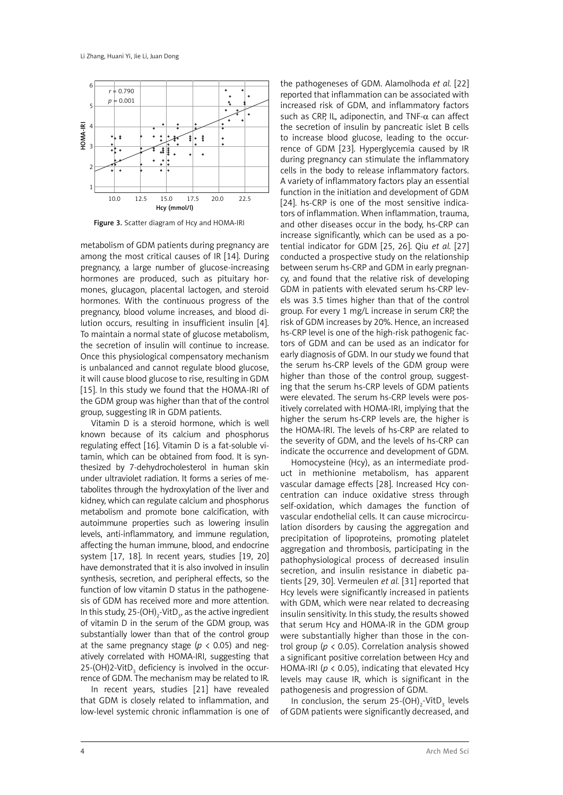

Figure 3. Scatter diagram of Hcy and HOMA-IRI

metabolism of GDM patients during pregnancy are among the most critical causes of IR [14]. During pregnancy, a large number of glucose-increasing hormones are produced, such as pituitary hormones, glucagon, placental lactogen, and steroid hormones. With the continuous progress of the pregnancy, blood volume increases, and blood dilution occurs, resulting in insufficient insulin [4]. To maintain a normal state of glucose metabolism, the secretion of insulin will continue to increase. Once this physiological compensatory mechanism is unbalanced and cannot regulate blood glucose, it will cause blood glucose to rise, resulting in GDM [15]. In this study we found that the HOMA-IRI of the GDM group was higher than that of the control group, suggesting IR in GDM patients.

Vitamin D is a steroid hormone, which is well known because of its calcium and phosphorus regulating effect [16]. Vitamin D is a fat-soluble vitamin, which can be obtained from food. It is synthesized by 7-dehydrocholesterol in human skin under ultraviolet radiation. It forms a series of metabolites through the hydroxylation of the liver and kidney, which can regulate calcium and phosphorus metabolism and promote bone calcification, with autoimmune properties such as lowering insulin levels, anti-inflammatory, and immune regulation, affecting the human immune, blood, and endocrine system [17, 18]. In recent years, studies [19, 20] have demonstrated that it is also involved in insulin synthesis, secretion, and peripheral effects, so the function of low vitamin D status in the pathogenesis of GDM has received more and more attention. In this study, 25-(OH)<sub>2</sub>-VitD<sub>3</sub>, as the active ingredient of vitamin D in the serum of the GDM group, was substantially lower than that of the control group at the same pregnancy stage ( $p < 0.05$ ) and negatively correlated with HOMA-IRI, suggesting that 25-(OH)2-VitD<sub>3</sub> deficiency is involved in the occurrence of GDM. The mechanism may be related to IR.

In recent years, studies [21] have revealed that GDM is closely related to inflammation, and low-level systemic chronic inflammation is one of

the pathogeneses of GDM. Alamolhoda *et al.* [22] reported that inflammation can be associated with increased risk of GDM, and inflammatory factors such as CRP, IL, adiponectin, and TNF- $\alpha$  can affect the secretion of insulin by pancreatic islet B cells to increase blood glucose, leading to the occurrence of GDM [23]. Hyperglycemia caused by IR during pregnancy can stimulate the inflammatory cells in the body to release inflammatory factors. A variety of inflammatory factors play an essential function in the initiation and development of GDM [24]. hs-CRP is one of the most sensitive indicators of inflammation. When inflammation, trauma, and other diseases occur in the body, hs-CRP can increase significantly, which can be used as a potential indicator for GDM [25, 26]. Qiu *et al.* [27] conducted a prospective study on the relationship between serum hs-CRP and GDM in early pregnancy, and found that the relative risk of developing GDM in patients with elevated serum hs-CRP levels was 3.5 times higher than that of the control group. For every 1 mg/L increase in serum CRP, the risk of GDM increases by 20%. Hence, an increased hs-CRP level is one of the high-risk pathogenic factors of GDM and can be used as an indicator for early diagnosis of GDM. In our study we found that the serum hs-CRP levels of the GDM group were higher than those of the control group, suggesting that the serum hs-CRP levels of GDM patients were elevated. The serum hs-CRP levels were positively correlated with HOMA-IRI, implying that the higher the serum hs-CRP levels are, the higher is the HOMA-IRI. The levels of hs-CRP are related to the severity of GDM, and the levels of hs-CRP can indicate the occurrence and development of GDM.

Homocysteine (Hcy), as an intermediate product in methionine metabolism, has apparent vascular damage effects [28]. Increased Hcy concentration can induce oxidative stress through self-oxidation, which damages the function of vascular endothelial cells. It can cause microcirculation disorders by causing the aggregation and precipitation of lipoproteins, promoting platelet aggregation and thrombosis, participating in the pathophysiological process of decreased insulin secretion, and insulin resistance in diabetic patients [29, 30]. Vermeulen *et al.* [31] reported that Hcy levels were significantly increased in patients with GDM, which were near related to decreasing insulin sensitivity. In this study, the results showed that serum Hcy and HOMA-IR in the GDM group were substantially higher than those in the control group (*p* < 0.05). Correlation analysis showed a significant positive correlation between Hcy and HOMA-IRI (*p* < 0.05), indicating that elevated Hcy levels may cause IR, which is significant in the pathogenesis and progression of GDM.

In conclusion, the serum  $25-(OH)_{2}-VitD_{3}$  levels of GDM patients were significantly decreased, and